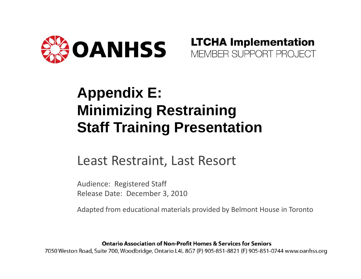

**LTCHA Implementation** MEMBER SUPPORT PROJECT

#### **Appendix E: Minimizing Restraining Staff Training Presentation**

#### Least Restraint, Last Resort

Audience: Registered Staff Release Date: December 3, 2010

Adapted from educational materials provided by Belmont House in Toronto

**Ontario Association of Non-Profit Homes & Services for Seniors** 

7050 Weston Road, Suite 700, Woodbridge, Ontario L4L 8G7 (P) 905-851-8821 (F) 905-851-0744 www.oanhss.org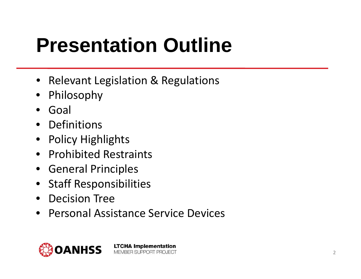## **Presentation Outline**

- •**•** Relevant Legislation & Regulations
- •Philosophy
- •Goal
- Definitions
- •Policy Highlights
- Prohibited Restraints
- General Principles
- Staff Responsibilities
- •Decision Tree
- $\bullet$ **• Personal Assistance Service Devices**

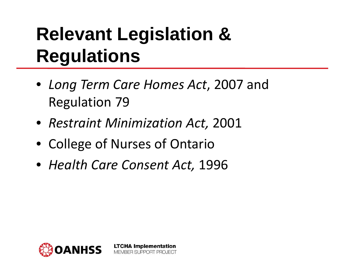## **Relevant Legislation & Regulations**

- *Long Term Care Homes Act* , 2007 and Regulation 79
- *Restraint Minimization Act,* 2001
- College of Nurses of Ontario
- *Health Care Consent Act,* 1996

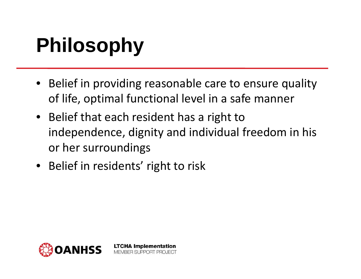# **Philosophy**

- Belief in providing reasonable care to ensure quality of life, optimal functional level in a safe manner
- Belief that each resident has a right to independence, dignity and individual freedom in his or her surroundings
- Belief in residents' right to risk

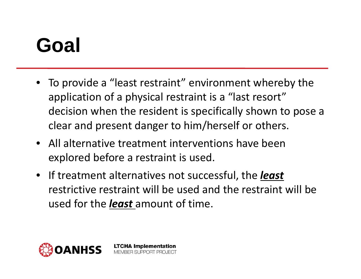## **Goal**

- To provide <sup>a</sup> "least restraint" environment whereby the application of <sup>a</sup> physical restraint is <sup>a</sup> "last resort" decision when the resident is specifically shown to pose <sup>a</sup> clear and present danger to him/herself or others.
- All alternative treatment interventions have beenexplored before <sup>a</sup> restraint is used.

**LTCHA Implementation** MEMBER SUPPORT PROJECT

• If treatment alternatives not successful, the *least* restrictive restraint will be used and the restraint will be used for the *least* amount of time.

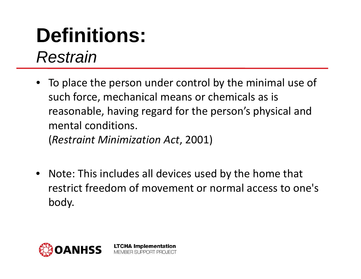#### **Definitions:**  *Restrain*

• To place the person under control by the minimal use of such force, mechanical means or chemicals as is reasonable, having regard for the person's physical and mental conditions.

(*Restraint Minimization Act*, 2001)

**LTCHA Implementation** MEMBER SUPPORT PROJECT

 $\bullet$  Note: This includes all devices used by the home that restrict freedom of movement or normal access to one's body.

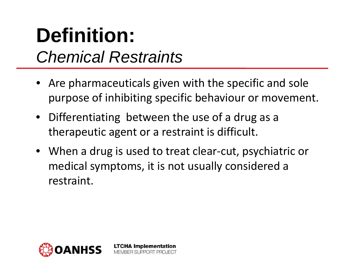#### **Definition:**  *Chemical Restraints*

- Are pharmaceuticals given with the specific and sole purpose of inhibiting specific behaviour or movement.
- Differentiating between the use of <sup>a</sup> drug as <sup>a</sup> therapeutic agent or <sup>a</sup> restraint is difficult.

**LTCHA Implementation** MEMBER SUPPORT PROJECT

• When <sup>a</sup> drug is used to treat clear‐cut, psychiatric or medical symptoms, it is not usually considered <sup>a</sup> restraint.

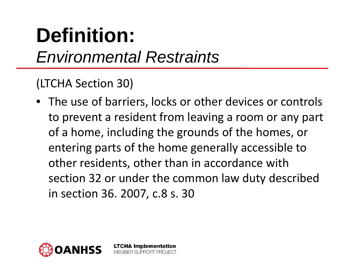## **Definition:**  *Environmental Restraints*

#### (LTCHA Section 30)

• The use of barriers, locks or other devices or controls to prevent <sup>a</sup> resident from leaving <sup>a</sup> room or any part of a home, including the grounds of the homes, or entering parts of the home generally accessible to other residents, other than in accordance with section 32 or under the common law duty described in section 36. 2007, c.8 s. 30

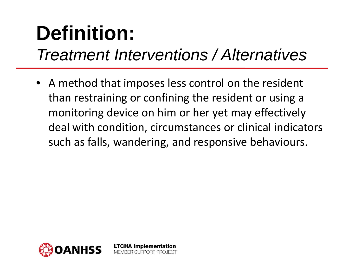## **Definition:**

#### *Treatment Interventions / Alternatives*

• A method that imposes less control on the resident than restraining or confining the resident or using <sup>a</sup> monitoring device on him or her yet may effectively deal with condition, circumstances or clinical indicators such as falls, wandering, and responsive behaviours.

BER SUPPORT PROJECT

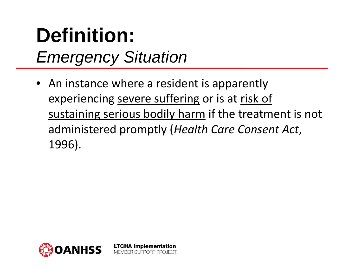## **Definition:**  *Emergency Situation*

• An instance where <sup>a</sup> resident is apparently experiencing severe suffering or is at risk of sustaining serious bodily harm if the treatment is not administered promptly (*Health Care Consent Act*, 1996).

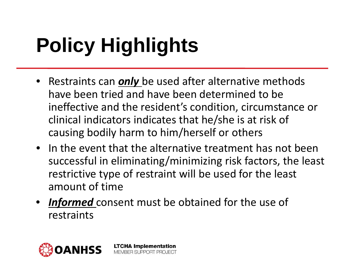# **Policy Highlights**

- Restraints can *only* be used after alternative methods have been tried and have been determined to be ineffective and the resident's condition, circumstance or clinical indicators indicates that he/she is at risk of causing bodily harm to him/herself or others
- In the event that the alternative treatment has not been successful in eliminating/minimizing risk factors, the least restrictive type of restraint will be used for the least amount of time
- *Informed* consent must be obtained for the use of restraints

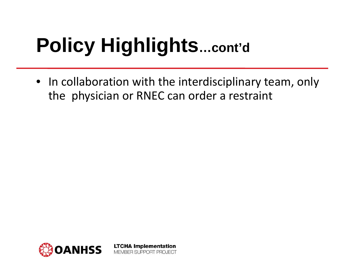# **Policy Highlights…cont'd**

• In collaboration with the interdisciplinary team, only the physician or RNEC can order a restraint

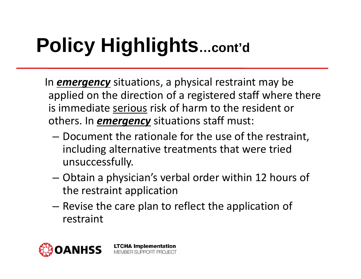# **Policy Highlights…cont'd**

In *emergency* situations, a physical restraint may be applied on the direction of a registered staff where there is immediate serious risk of harm to the resident or others. In *emergency* situations staff must:

- – Document the rationale for the use of the restraint, including alternative treatments that were tried unsuccessfully.
- Obtain a physician's verbal order within 12 hours of the restraint application
- – $-$  Revise the care plan to reflect the application of restraint

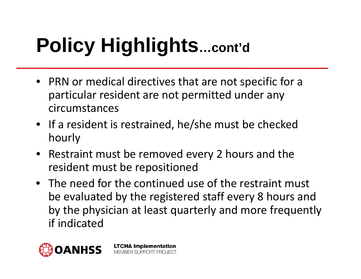# **Policy Highlights…cont'd**

- PRN or medical directives that are not specific for a particular resident are not permitted under any circumstances
- If a resident is restrained, he/she must be checked hourly
- Restraint must be removed every 2 hours and the resident must be repositioned
- The need for the continued use of the restraint must be evaluated by the registered staff every 8 hours and by the physician at least quarterly and more frequently if indicated

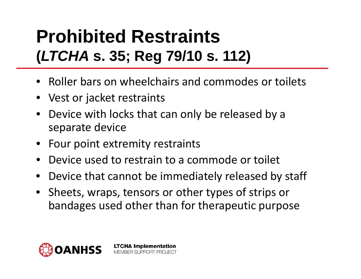#### **Prohibited Restraints(***LTCHA* **s. 35; Reg 79/10 s. 112)**

- Roller bars on wheelchairs and commodes or toilets
- Vest or jacket restraints
- • Device with locks that can only be released by a separate device
- Four point extremity restraints
- •Device used to restrain to a commode or toilet

- •Device that cannot be immediately released by staff
- Sheets, wraps, tensors or other types of strips or bandages used other than for therapeutic purpose

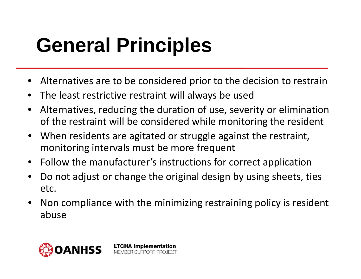## **General Principles**

- Alternatives are to be considered prior to the decision to restrain
- •The least restrictive restraint will always be used

- • Alternatives, reducing the duration of use, severity or elimination of the restraint will be considered while monitoring the resident
- When residents are agitated or struggle against the restraint, monitoring intervals must be more frequent
- Follow the manufacturer's instructions for correct application
- • Do not adjust or change the original design by using sheets, ties etc.
- • Non compliance with the minimizing restraining policy is resident abuse

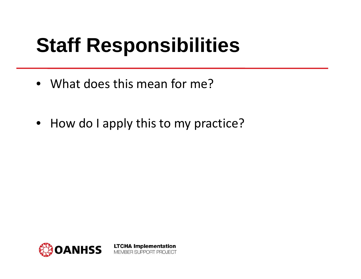## **Staff Responsibilities**

- What does this mean for me?
- How do I apply this to my practice?

**LTCHA Implementation** 

MEMBER SUPPORT PROJECT

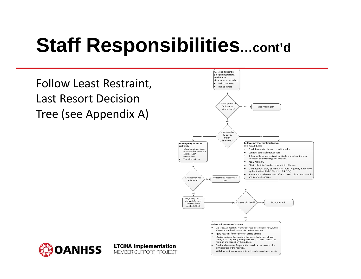## **Staff Responsibilities…cont'd**

Follow Least Restraint, Last Resort DecisionTree (see Appendix A)



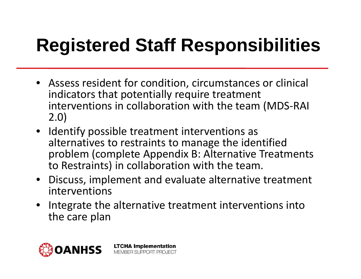## **Registered Staff Responsibilities**

- Assess resident for condition, circumstances or clinical indicators that potentially require treatment interventions in collaboration with the team (MDS ‐RAI 2.0)
- Identify possible treatment interventions as alternatives to restraints to manage the identified problem (complete Appendix B: Alternative Treatments to Restraints) in collaboration with the team.
- Discuss, implement and evaluate alternative treatment interventions
- Integrate the alternative treatment interventions into the care plan

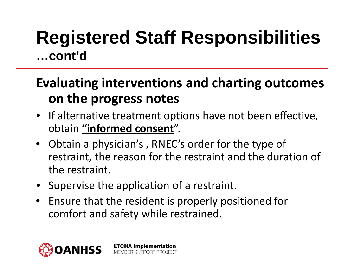#### **Registered Staff Responsibilities …cont'd**

#### **Evaluating interventions and charting outcomes on the progress notes**

- If alternative treatment options have not been effective, obtain **"informed consent**".
- Obtain a physician's , RNEC's order for the type of restraint, the reason for the restraint and the duration of the restraint.
- Supervise the application of a restraint.

**LTCHA Implementation** MEMBER SUPPORT PROJECT

• Ensure that the resident is properly positioned for comfort and safety while restrained.

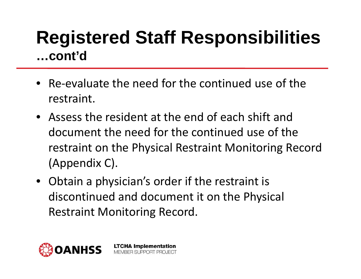#### **Registered Staff Responsibilities …cont'd**

- Re‐evaluate the need for the continued use of the restraint.
- Assess the resident at the end of each shift and document the need for the continued use of the restraint on the Physical Restraint Monitoring Record (Appendix C).
- Obtain a physician's order if the restraint is discontinued and document it on the Physical Restraint Monitoring Record.

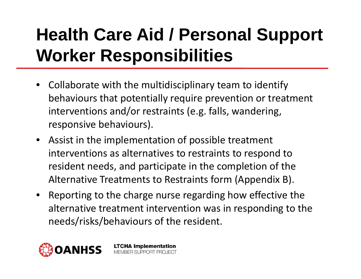### **Health Care Aid / Personal Support Worker Responsibilities**

- Collaborate with the multidisciplinary team to identify behaviours that potentially require prevention or treatment interventions and/or restraints (e.g. falls, wandering, responsive behaviours).
- Assist in the implementation of possible treatment interventions as alternatives to restraints to respond to resident needs, and participate in the completion of the Alternative Treatments to Restraints form (Appendix B).
- Reporting to the charge nurse regarding how effective the alternative treatment intervention was in responding to the needs/risks/behaviours of the resident.

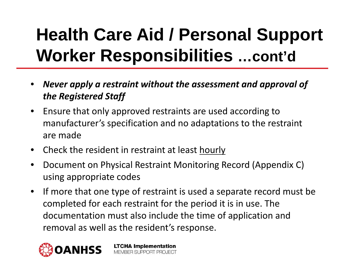### **Health Care Aid / Personal Support Worker Responsibilities …cont'd**

- • *Never apply a restraint without the assessment and approval of the Registered Staff*
- $\bullet$ • Ensure that only approved restraints are used according to manufacturer's specification and no adaptations to the restraint are made
- $\bullet$ • Check the resident in restraint at least hourly
- $\bullet$  Document on Physical Restraint Monitoring Record (Appendix C) using appropriate codes
- $\bullet$  $\bullet$  If more that one type of restraint is used a separate record must be completed for each restraint for the period it is in use. The documentation must also include the time of application and removal as well as the resident's response.

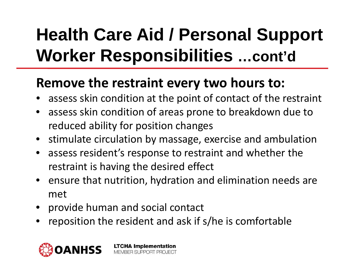### **Health Care Aid / Personal Support Worker Responsibilities …cont'd**

#### **Remove the restraint every two hours to:**

- •assess skin condition at the point of contact of the restraint
- • assess skin condition of areas prone to breakdown due to reduced ability for position changes
- •**•** stimulate circulation by massage, exercise and ambulation
- • assess resident's response to restraint and whether the restraint is having the desired effect
- ensure that nutrition, hydration and elimination needs are met
- •provide human and social contact
- •reposition the resident and ask if s/he is comfortable

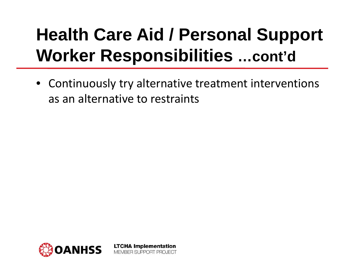#### **Health Care Aid / Personal Support Worker Responsibilities …cont'd**

• Continuously try alternative treatment interventions as an alternative to restraints

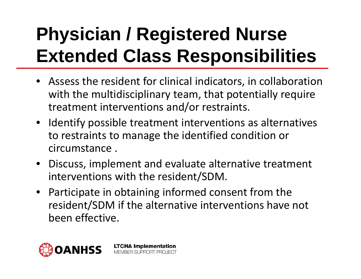## **Physician / Registered Nurse Extended Class Responsibilities**

- Assess the resident for clinical indicators, in collaboration with the multidisciplinary team, that potentially require treatment interventions and/or restraints.
- Identify possible treatment interventions as alternatives to restraints to manage the identified condition or circumstance .
- Discuss, implement and evaluate alternative treatment interventions with the resident/SDM.
- Participate in obtaining informed consent from the resident/SDM if the alternative interventions have not been effective.

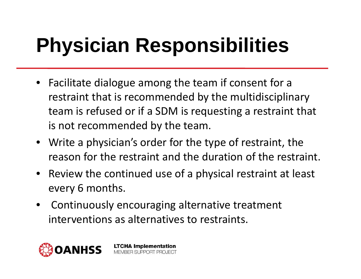## **Physician Responsibilities**

- Facilitate dialogue among the team if consent for a restraint that is recommended by the multidisciplinary team is refused or if a SDM is requesting a restraint that is not recommended by the team.
- Write a physician's order for the type of restraint, the reason for the restraint and the duration of the restraint.
- Review the continued use of a physical restraint at least every 6 months.
- • Continuously encouraging alternative treatment interventions as alternatives to restraints.

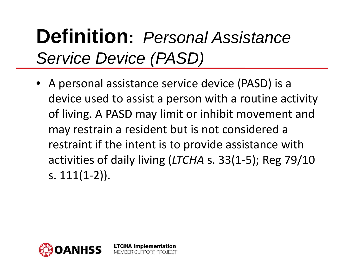## **Definition:** *Personal Assistance Service Device (PASD)*

• A personal assistance service device (PASD) is <sup>a</sup> device used to assist <sup>a</sup> person with <sup>a</sup> routine activity of living. A PASD may limit or inhibit movement and may restrain <sup>a</sup> resident but is not considered <sup>a</sup> restraint if the intent is to provide assistance with activities of daily living (*LTCHA* s. 33(1‐5); Reg 79/10 s. 111(1‐2)).

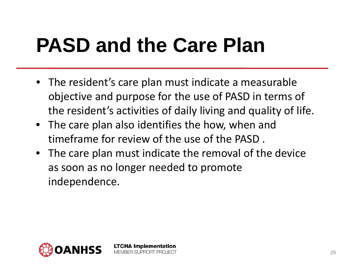## **PASD and the Care Plan**

- The resident's care plan must indicate a measurable objective and purpose for the use of PASD in terms of the resident's activities of daily living and quality of life.
- The care plan also identifies the how, when and timeframe for review of the use of the PASD .

**LTCHA Implementation** MEMBER SUPPORT PROJECT

• The care plan must indicate the removal of the device as soon as no longer needed to promote independence.

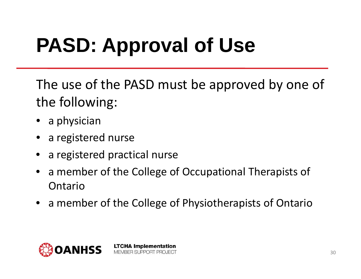# **PASD: Approval of Use**

The use of the PASD must be approved by one of the following:

- a physician
- a registered nurse
- a registered practical nurse
- •a member of the College of Occupational Therapists of Ontario
- a member of the College of Physiotherapists of Ontario

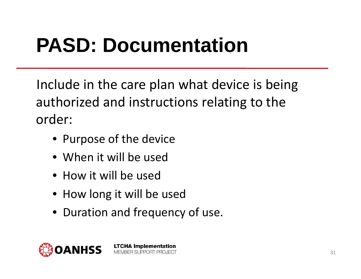## **PASD: Documentation**

Include in the care plan what device is being authorized and instructions relating to the order:

- Purpose of the device
- When it will be used
- How it will be used
- How long it will be used
- Duration and frequency of use.

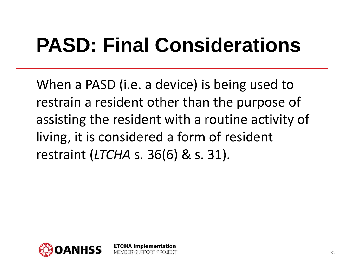## **PASD: Final Considerations**

When a PASD (i.e. a device) is being used to restrain a resident other than the purpose of assisting the resident with a routine activity of living, it is considered a form of resident restraint (*LTCHA* s. 36(6) & s. 31).